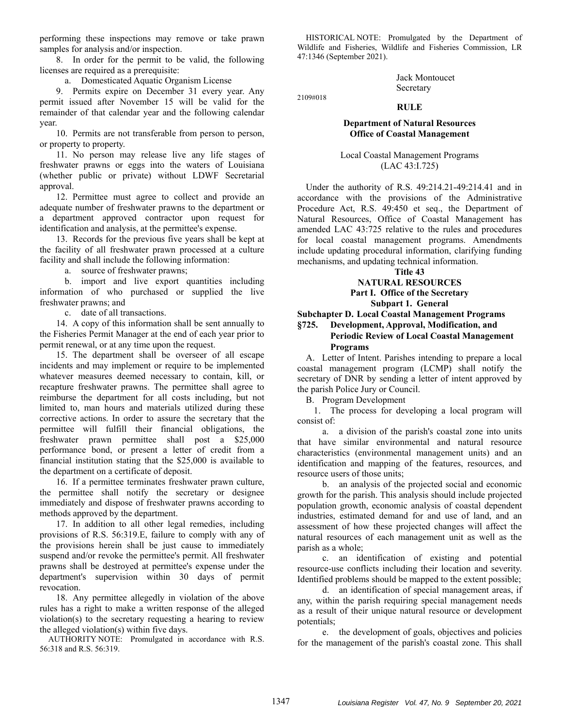performing these inspections may remove or take prawn samples for analysis and/or inspection.

8. In order for the permit to be valid, the following licenses are required as a prerequisite:

a. Domesticated Aquatic Organism License

9. Permits expire on December 31 every year. Any permit issued after November 15 will be valid for the remainder of that calendar year and the following calendar year.

10. Permits are not transferable from person to person, or property to property.

11. No person may release live any life stages of freshwater prawns or eggs into the waters of Louisiana (whether public or private) without LDWF Secretarial approval.

12. Permittee must agree to collect and provide an adequate number of freshwater prawns to the department or a department approved contractor upon request for identification and analysis, at the permittee's expense.

13. Records for the previous five years shall be kept at the facility of all freshwater prawn processed at a culture facility and shall include the following information:

a. source of freshwater prawns;

b. import and live export quantities including information of who purchased or supplied the live freshwater prawns; and

c. date of all transactions.

14. A copy of this information shall be sent annually to the Fisheries Permit Manager at the end of each year prior to permit renewal, or at any time upon the request.

15. The department shall be overseer of all escape incidents and may implement or require to be implemented whatever measures deemed necessary to contain, kill, or recapture freshwater prawns. The permittee shall agree to reimburse the department for all costs including, but not limited to, man hours and materials utilized during these corrective actions. In order to assure the secretary that the permittee will fulfill their financial obligations, the freshwater prawn permittee shall post a \$25,000 performance bond, or present a letter of credit from a financial institution stating that the \$25,000 is available to the department on a certificate of deposit.

16. If a permittee terminates freshwater prawn culture, the permittee shall notify the secretary or designee immediately and dispose of freshwater prawns according to methods approved by the department.

17. In addition to all other legal remedies, including provisions of R.S. 56:319.E, failure to comply with any of the provisions herein shall be just cause to immediately suspend and/or revoke the permittee's permit. All freshwater prawns shall be destroyed at permittee's expense under the department's supervision within 30 days of permit revocation.

18. Any permittee allegedly in violation of the above rules has a right to make a written response of the alleged violation(s) to the secretary requesting a hearing to review the alleged violation(s) within five days.

AUTHORITY NOTE: Promulgated in accordance with R.S. 56:318 and R.S. 56:319.

HISTORICAL NOTE: Promulgated by the Department of Wildlife and Fisheries, Wildlife and Fisheries Commission, LR 47:1346 (September 2021).

> Jack Montoucet Secretary

2109#018

### **RULE**

#### **Department of Natural Resources Office of Coastal Management**

Local Coastal Management Programs (LAC 43:I.725)

Under the authority of R.S. 49:214.21-49:214.41 and in accordance with the provisions of the Administrative Procedure Act, R.S. 49:450 et seq., the Department of Natural Resources, Office of Coastal Management has amended LAC 43:725 relative to the rules and procedures for local coastal management programs. Amendments include updating procedural information, clarifying funding mechanisms, and updating technical information.

### **Title 43**

# **NATURAL RESOURCES Part I. Office of the Secretary**

# **Subpart 1. General**

**Subchapter D. Local Coastal Management Programs** 

#### **§725. Development, Approval, Modification, and Periodic Review of Local Coastal Management Programs**

A. Letter of Intent. Parishes intending to prepare a local coastal management program (LCMP) shall notify the secretary of DNR by sending a letter of intent approved by the parish Police Jury or Council.

B. Program Development

1. The process for developing a local program will consist of:

a. a division of the parish's coastal zone into units that have similar environmental and natural resource characteristics (environmental management units) and an identification and mapping of the features, resources, and resource users of those units;

b. an analysis of the projected social and economic growth for the parish. This analysis should include projected population growth, economic analysis of coastal dependent industries, estimated demand for and use of land, and an assessment of how these projected changes will affect the natural resources of each management unit as well as the parish as a whole;

c. an identification of existing and potential resource-use conflicts including their location and severity. Identified problems should be mapped to the extent possible;

d. an identification of special management areas, if any, within the parish requiring special management needs as a result of their unique natural resource or development potentials;

e. the development of goals, objectives and policies for the management of the parish's coastal zone. This shall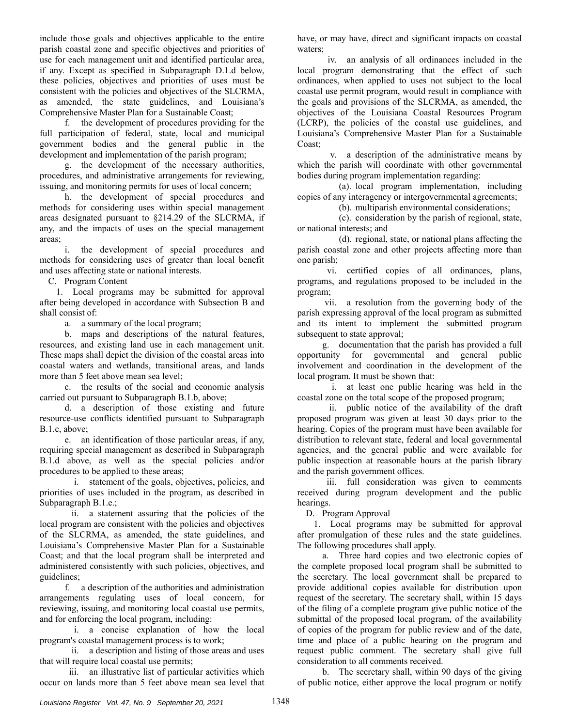include those goals and objectives applicable to the entire parish coastal zone and specific objectives and priorities of use for each management unit and identified particular area, if any. Except as specified in Subparagraph D.1.d below, these policies, objectives and priorities of uses must be consistent with the policies and objectives of the SLCRMA, as amended, the state guidelines, and Louisiana's Comprehensive Master Plan for a Sustainable Coast;

f. the development of procedures providing for the full participation of federal, state, local and municipal government bodies and the general public in the development and implementation of the parish program;

g. the development of the necessary authorities, procedures, and administrative arrangements for reviewing, issuing, and monitoring permits for uses of local concern;

h. the development of special procedures and methods for considering uses within special management areas designated pursuant to §214.29 of the SLCRMA, if any, and the impacts of uses on the special management areas;

i. the development of special procedures and methods for considering uses of greater than local benefit and uses affecting state or national interests.

C. Program Content

1. Local programs may be submitted for approval after being developed in accordance with Subsection B and shall consist of:

a. a summary of the local program;

b. maps and descriptions of the natural features, resources, and existing land use in each management unit. These maps shall depict the division of the coastal areas into coastal waters and wetlands, transitional areas, and lands more than 5 feet above mean sea level;

c. the results of the social and economic analysis carried out pursuant to Subparagraph B.1.b, above;

d. a description of those existing and future resource-use conflicts identified pursuant to Subparagraph B.1.c, above;

e. an identification of those particular areas, if any, requiring special management as described in Subparagraph B.1.d above, as well as the special policies and/or procedures to be applied to these areas;

 i. statement of the goals, objectives, policies, and priorities of uses included in the program, as described in Subparagraph B.1.e.;

 ii. a statement assuring that the policies of the local program are consistent with the policies and objectives of the SLCRMA, as amended, the state guidelines, and Louisiana's Comprehensive Master Plan for a Sustainable Coast; and that the local program shall be interpreted and administered consistently with such policies, objectives, and guidelines;

f. a description of the authorities and administration arrangements regulating uses of local concern, for reviewing, issuing, and monitoring local coastal use permits, and for enforcing the local program, including:

 i. a concise explanation of how the local program's coastal management process is to work;

 ii. a description and listing of those areas and uses that will require local coastal use permits;

 iii. an illustrative list of particular activities which occur on lands more than 5 feet above mean sea level that have, or may have, direct and significant impacts on coastal waters;

 iv. an analysis of all ordinances included in the local program demonstrating that the effect of such ordinances, when applied to uses not subject to the local coastal use permit program, would result in compliance with the goals and provisions of the SLCRMA, as amended, the objectives of the Louisiana Coastal Resources Program (LCRP), the policies of the coastal use guidelines, and Louisiana's Comprehensive Master Plan for a Sustainable Coast;

 v. a description of the administrative means by which the parish will coordinate with other governmental bodies during program implementation regarding:

(a). local program implementation, including copies of any interagency or intergovernmental agreements;

(b). multiparish environmental considerations;

(c). consideration by the parish of regional, state, or national interests; and

(d). regional, state, or national plans affecting the parish coastal zone and other projects affecting more than one parish;

 vi. certified copies of all ordinances, plans, programs, and regulations proposed to be included in the program;

 vii. a resolution from the governing body of the parish expressing approval of the local program as submitted and its intent to implement the submitted program subsequent to state approval;

g. documentation that the parish has provided a full opportunity for governmental and general public involvement and coordination in the development of the local program. It must be shown that:

 i. at least one public hearing was held in the coastal zone on the total scope of the proposed program;

 ii. public notice of the availability of the draft proposed program was given at least 30 days prior to the hearing. Copies of the program must have been available for distribution to relevant state, federal and local governmental agencies, and the general public and were available for public inspection at reasonable hours at the parish library and the parish government offices.

 iii. full consideration was given to comments received during program development and the public hearings.

D. Program Approval

1. Local programs may be submitted for approval after promulgation of these rules and the state guidelines. The following procedures shall apply.

a. Three hard copies and two electronic copies of the complete proposed local program shall be submitted to the secretary. The local government shall be prepared to provide additional copies available for distribution upon request of the secretary. The secretary shall, within 15 days of the filing of a complete program give public notice of the submittal of the proposed local program, of the availability of copies of the program for public review and of the date, time and place of a public hearing on the program and request public comment. The secretary shall give full consideration to all comments received.

b. The secretary shall, within 90 days of the giving of public notice, either approve the local program or notify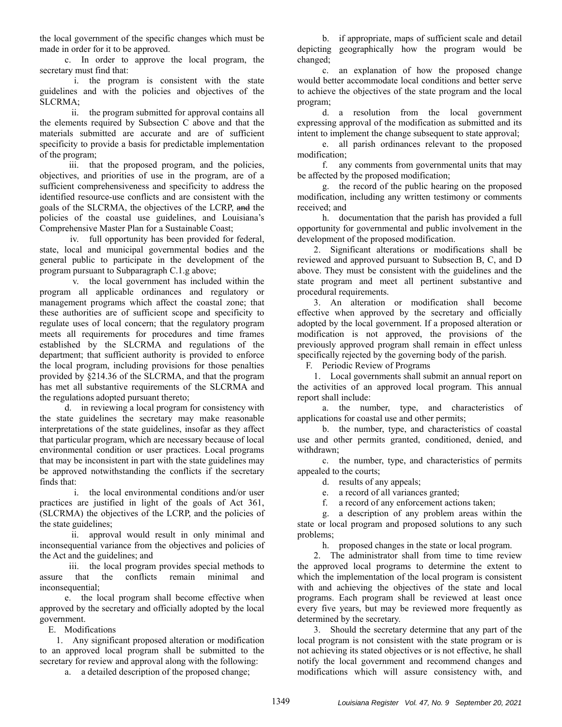the local government of the specific changes which must be made in order for it to be approved.

c. In order to approve the local program, the secretary must find that:

 i. the program is consistent with the state guidelines and with the policies and objectives of the SLCRMA;

 ii. the program submitted for approval contains all the elements required by Subsection C above and that the materials submitted are accurate and are of sufficient specificity to provide a basis for predictable implementation of the program;

 iii. that the proposed program, and the policies, objectives, and priorities of use in the program, are of a sufficient comprehensiveness and specificity to address the identified resource-use conflicts and are consistent with the goals of the SLCRMA, the objectives of the LCRP, and the policies of the coastal use guidelines, and Louisiana's Comprehensive Master Plan for a Sustainable Coast;

 iv. full opportunity has been provided for federal, state, local and municipal governmental bodies and the general public to participate in the development of the program pursuant to Subparagraph C.1.g above;

 v. the local government has included within the program all applicable ordinances and regulatory or management programs which affect the coastal zone; that these authorities are of sufficient scope and specificity to regulate uses of local concern; that the regulatory program meets all requirements for procedures and time frames established by the SLCRMA and regulations of the department; that sufficient authority is provided to enforce the local program, including provisions for those penalties provided by §214.36 of the SLCRMA, and that the program has met all substantive requirements of the SLCRMA and the regulations adopted pursuant thereto;

d. in reviewing a local program for consistency with the state guidelines the secretary may make reasonable interpretations of the state guidelines, insofar as they affect that particular program, which are necessary because of local environmental condition or user practices. Local programs that may be inconsistent in part with the state guidelines may be approved notwithstanding the conflicts if the secretary finds that:

 i. the local environmental conditions and/or user practices are justified in light of the goals of Act 361, (SLCRMA) the objectives of the LCRP, and the policies of the state guidelines;

 ii. approval would result in only minimal and inconsequential variance from the objectives and policies of the Act and the guidelines; and

 iii. the local program provides special methods to assure that the conflicts remain minimal and inconsequential;

e. the local program shall become effective when approved by the secretary and officially adopted by the local government.

E. Modifications

1. Any significant proposed alteration or modification to an approved local program shall be submitted to the secretary for review and approval along with the following:

a. a detailed description of the proposed change;

b. if appropriate, maps of sufficient scale and detail depicting geographically how the program would be changed;

c. an explanation of how the proposed change would better accommodate local conditions and better serve to achieve the objectives of the state program and the local program;

d. a resolution from the local government expressing approval of the modification as submitted and its intent to implement the change subsequent to state approval;

e. all parish ordinances relevant to the proposed modification;

f. any comments from governmental units that may be affected by the proposed modification;

g. the record of the public hearing on the proposed modification, including any written testimony or comments received; and

h. documentation that the parish has provided a full opportunity for governmental and public involvement in the development of the proposed modification.

2. Significant alterations or modifications shall be reviewed and approved pursuant to Subsection B, C, and D above. They must be consistent with the guidelines and the state program and meet all pertinent substantive and procedural requirements.

3. An alteration or modification shall become effective when approved by the secretary and officially adopted by the local government. If a proposed alteration or modification is not approved, the provisions of the previously approved program shall remain in effect unless specifically rejected by the governing body of the parish.

F. Periodic Review of Programs

1. Local governments shall submit an annual report on the activities of an approved local program. This annual report shall include:

a. the number, type, and characteristics of applications for coastal use and other permits;

b. the number, type, and characteristics of coastal use and other permits granted, conditioned, denied, and withdrawn;

c. the number, type, and characteristics of permits appealed to the courts;

d. results of any appeals;

e. a record of all variances granted;

f. a record of any enforcement actions taken;

g. a description of any problem areas within the state or local program and proposed solutions to any such problems;

h. proposed changes in the state or local program.

2. The administrator shall from time to time review the approved local programs to determine the extent to which the implementation of the local program is consistent with and achieving the objectives of the state and local programs. Each program shall be reviewed at least once every five years, but may be reviewed more frequently as determined by the secretary.

3. Should the secretary determine that any part of the local program is not consistent with the state program or is not achieving its stated objectives or is not effective, he shall notify the local government and recommend changes and modifications which will assure consistency with, and